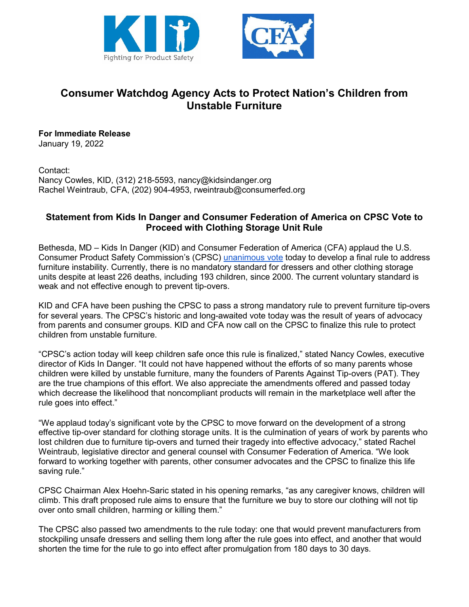



## **Consumer Watchdog Agency Acts to Protect Nation's Children from Unstable Furniture**

**For Immediate Release** January 19, 2022

Contact: Nancy Cowles, KID, (312) 218-5593, nancy@kidsindanger.org Rachel Weintraub, CFA, (202) 904-4953, rweintraub@consumerfed.org

## **Statement from Kids In Danger and Consumer Federation of America on CPSC Vote to Proceed with Clothing Storage Unit Rule**

Bethesda, MD – Kids In Danger (KID) and Consumer Federation of America (CFA) applaud the U.S. Consumer Product Safety Commission's (CPSC) [unanimous vote](https://www.youtube.com/watch?v=yUS8FpsSTJQ) today to develop a final rule to address furniture instability. Currently, there is no mandatory standard for dressers and other clothing storage units despite at least 226 deaths, including 193 children, since 2000. The current voluntary standard is weak and not effective enough to prevent tip-overs.

KID and CFA have been pushing the CPSC to pass a strong mandatory rule to prevent furniture tip-overs for several years. The CPSC's historic and long-awaited vote today was the result of years of advocacy from parents and consumer groups. KID and CFA now call on the CPSC to finalize this rule to protect children from unstable furniture.

"CPSC's action today will keep children safe once this rule is finalized," stated Nancy Cowles, executive director of Kids In Danger. "It could not have happened without the efforts of so many parents whose children were killed by unstable furniture, many the founders of Parents Against Tip-overs (PAT). They are the true champions of this effort. We also appreciate the amendments offered and passed today which decrease the likelihood that noncompliant products will remain in the marketplace well after the rule goes into effect."

"We applaud today's significant vote by the CPSC to move forward on the development of a strong effective tip-over standard for clothing storage units. It is the culmination of years of work by parents who lost children due to furniture tip-overs and turned their tragedy into effective advocacy," stated Rachel Weintraub, legislative director and general counsel with Consumer Federation of America. "We look forward to working together with parents, other consumer advocates and the CPSC to finalize this life saving rule."

CPSC Chairman Alex Hoehn-Saric stated in his opening remarks, "as any caregiver knows, children will climb. This draft proposed rule aims to ensure that the furniture we buy to store our clothing will not tip over onto small children, harming or killing them."

The CPSC also passed two amendments to the rule today: one that would prevent manufacturers from stockpiling unsafe dressers and selling them long after the rule goes into effect, and another that would shorten the time for the rule to go into effect after promulgation from 180 days to 30 days.